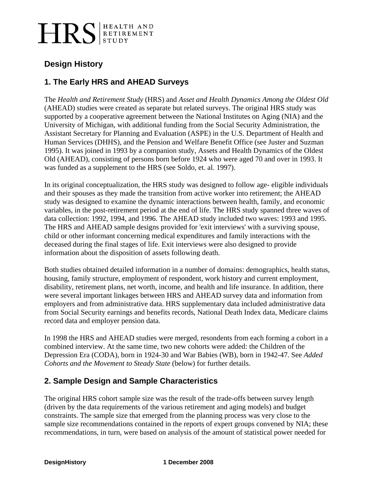# HRS ETIREMENT

# **Design History**

## **1. The Early HRS and AHEAD Surveys**

The *Health and Retirement Study* (HRS) and *Asset and Health Dynamics Among the Oldest Old* (AHEAD) studies were created as separate but related surveys. The original HRS study was supported by a cooperative agreement between the National Institutes on Aging (NIA) and the University of Michigan, with additional funding from the Social Security Administration, the Assistant Secretary for Planning and Evaluation (ASPE) in the U.S. Department of Health and Human Services (DHHS), and the Pension and Welfare Benefit Office (see Juster and Suzman 1995). It was joined in 1993 by a companion study, Assets and Health Dynamics of the Oldest Old (AHEAD), consisting of persons born before 1924 who were aged 70 and over in 1993. It was funded as a supplement to the HRS (see Soldo, et. al. 1997).

In its original conceptualization, the HRS study was designed to follow age- eligible individuals and their spouses as they made the transition from active worker into retirement; the AHEAD study was designed to examine the dynamic interactions between health, family, and economic variables, in the post-retirement period at the end of life. The HRS study spanned three waves of data collection: 1992, 1994, and 1996. The AHEAD study included two waves: 1993 and 1995. The HRS and AHEAD sample designs provided for 'exit interviews' with a surviving spouse, child or other informant concerning medical expenditures and family interactions with the deceased during the final stages of life. Exit interviews were also designed to provide information about the disposition of assets following death.

Both studies obtained detailed information in a number of domains: demographics, health status, housing, family structure, employment of respondent, work history and current employment, disability, retirement plans, net worth, income, and health and life insurance. In addition, there were several important linkages between HRS and AHEAD survey data and information from employers and from administrative data. HRS supplementary data included administrative data from Social Security earnings and benefits records, National Death Index data, Medicare claims record data and employer pension data.

In 1998 the HRS and AHEAD studies were merged, resondents from each forming a cohort in a combined interview. At the same time, two new cohorts were added: the Children of the Depression Era (CODA), born in 1924-30 and War Babies (WB), born in 1942-47. See *Added Cohorts and the Movement to Steady State* (below) for further details.

## **2. Sample Design and Sample Characteristics**

The original HRS cohort sample size was the result of the trade-offs between survey length (driven by the data requirements of the various retirement and aging models) and budget constraints. The sample size that emerged from the planning process was very close to the sample size recommendations contained in the reports of expert groups convened by NIA; these recommendations, in turn, were based on analysis of the amount of statistical power needed for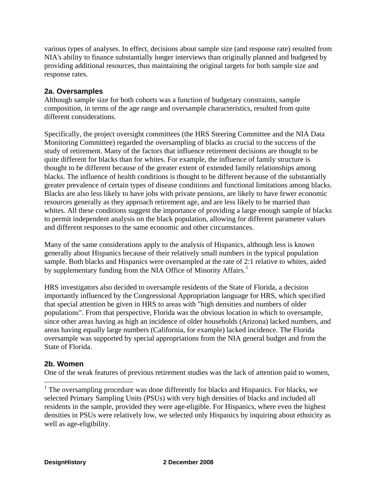various types of analyses. In effect, decisions about sample size (and response rate) resulted from NIA's ability to finance substantially longer interviews than originally planned and budgeted by providing additional resources, thus maintaining the original targets for both sample size and response rates.

#### **2a. Oversamples**

Although sample size for both cohorts was a function of budgetary constraints, sample composition, in terms of the age range and oversample characteristics, resulted from quite different considerations.

Specifically, the project oversight committees (the HRS Steering Committee and the NIA Data Monitoring Committee) regarded the oversampling of blacks as crucial to the success of the study of retirement. Many of the factors that influence retirement decisions are thought to be quite different for blacks than for whites. For example, the influence of family structure is thought to be different because of the greater extent of extended family relationships among blacks. The influence of health conditions is thought to be different because of the substantially greater prevalence of certain types of disease conditions and functional limitations among blacks. Blacks are also less likely to have jobs with private pensions, are likely to have fewer economic resources generally as they approach retirement age, and are less likely to be married than whites. All these conditions suggest the importance of providing a large enough sample of blacks to permit independent analysis on the black population, allowing for different parameter values and different responses to the same economic and other circumstances.

Many of the same considerations apply to the analysis of Hispanics, although less is known generally about Hispanics because of their relatively small numbers in the typical population sample. Both blacks and Hispanics were oversampled at the rate of 2:1 relative to whites, aided by supplementary funding from the NIA Office of Minority Affairs.<sup>[1](#page-1-0)</sup>

HRS investigators also decided to oversample residents of the State of Florida, a decision importantly influenced by the Congressional Appropriation language for HRS, which specified that special attention be given in HRS to areas with "high densities and numbers of older populations". From that perspective, Florida was the obvious location in which to oversample, since other areas having as high an incidence of older households (Arizona) lacked numbers, and areas having equally large numbers (California, for example) lacked incidence. The Florida oversample was supported by special appropriations from the NIA general budget and from the State of Florida.

#### **2b. Women**

 $\overline{a}$ 

One of the weak features of previous retirement studies was the lack of attention paid to women,

<span id="page-1-0"></span><sup>&</sup>lt;sup>1</sup> The oversampling procedure was done differently for blacks and Hispanics. For blacks, we selected Primary Sampling Units (PSUs) with very high densities of blacks and included all residents in the sample, provided they were age-eligible. For Hispanics, where even the highest densities in PSUs were relatively low, we selected only Hispanics by inquiring about ethnicity as well as age-eligibility.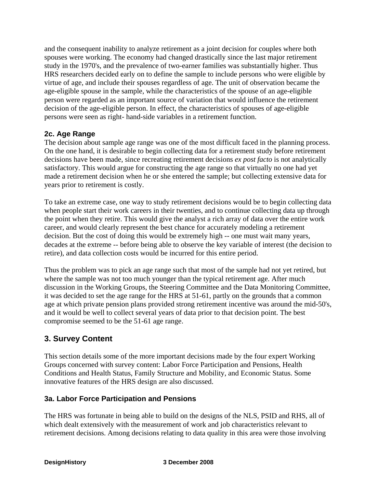and the consequent inability to analyze retirement as a joint decision for couples where both spouses were working. The economy had changed drastically since the last major retirement study in the 1970's, and the prevalence of two-earner families was substantially higher. Thus HRS researchers decided early on to define the sample to include persons who were eligible by virtue of age, and include their spouses regardless of age. The unit of observation became the age-eligible spouse in the sample, while the characteristics of the spouse of an age-eligible person were regarded as an important source of variation that would influence the retirement decision of the age-eligible person. In effect, the characteristics of spouses of age-eligible persons were seen as right- hand-side variables in a retirement function.

#### **2c. Age Range**

The decision about sample age range was one of the most difficult faced in the planning process. On the one hand, it is desirable to begin collecting data for a retirement study before retirement decisions have been made, since recreating retirement decisions *ex post facto* is not analytically satisfactory. This would argue for constructing the age range so that virtually no one had yet made a retirement decision when he or she entered the sample; but collecting extensive data for years prior to retirement is costly.

To take an extreme case, one way to study retirement decisions would be to begin collecting data when people start their work careers in their twenties, and to continue collecting data up through the point when they retire. This would give the analyst a rich array of data over the entire work career, and would clearly represent the best chance for accurately modeling a retirement decision. But the cost of doing this would be extremely high -- one must wait many years, decades at the extreme -- before being able to observe the key variable of interest (the decision to retire), and data collection costs would be incurred for this entire period.

Thus the problem was to pick an age range such that most of the sample had not yet retired, but where the sample was not too much younger than the typical retirement age. After much discussion in the Working Groups, the Steering Committee and the Data Monitoring Committee, it was decided to set the age range for the HRS at 51-61, partly on the grounds that a common age at which private pension plans provided strong retirement incentive was around the mid-50's, and it would be well to collect several years of data prior to that decision point. The best compromise seemed to be the 51-61 age range.

# **3. Survey Content**

This section details some of the more important decisions made by the four expert Working Groups concerned with survey content: Labor Force Participation and Pensions, Health Conditions and Health Status, Family Structure and Mobility, and Economic Status. Some innovative features of the HRS design are also discussed.

## **3a. Labor Force Participation and Pensions**

The HRS was fortunate in being able to build on the designs of the NLS, PSID and RHS, all of which dealt extensively with the measurement of work and job characteristics relevant to retirement decisions. Among decisions relating to data quality in this area were those involving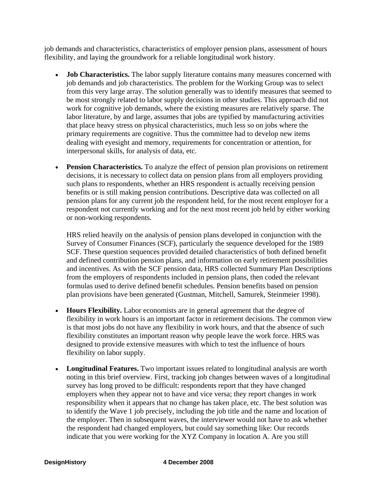job demands and characteristics, characteristics of employer pension plans, assessment of hours flexibility, and laying the groundwork for a reliable longitudinal work history.

- **Job Characteristics.** The labor supply literature contains many measures concerned with job demands and job characteristics. The problem for the Working Group was to select from this very large array. The solution generally was to identify measures that seemed to be most strongly related to labor supply decisions in other studies. This approach did not work for cognitive job demands, where the existing measures are relatively sparse. The labor literature, by and large, assumes that jobs are typified by manufacturing activities that place heavy stress on physical characteristics, much less so on jobs where the primary requirements are cognitive. Thus the committee had to develop new items dealing with eyesight and memory, requirements for concentration or attention, for interpersonal skills, for analysis of data, etc.
- **Pension Characteristics.** To analyze the effect of pension plan provisions on retirement decisions, it is necessary to collect data on pension plans from all employers providing such plans to respondents, whether an HRS respondent is actually receiving pension benefits or is still making pension contributions. Descriptive data was collected on all pension plans for any current job the respondent held, for the most recent employer for a respondent not currently working and for the next most recent job held by either working or non-working respondents.

HRS relied heavily on the analysis of pension plans developed in conjunction with the Survey of Consumer Finances (SCF), particularly the sequence developed for the 1989 SCF. These question sequences provided detailed characteristics of both defined benefit and defined contribution pension plans, and information on early retirement possibilities and incentives. As with the SCF pension data, HRS collected Summary Plan Descriptions from the employers of respondents included in pension plans, then coded the relevant formulas used to derive defined benefit schedules. Pension benefits based on pension plan provisions have been generated (Gustman, Mitchell, Samurek, Steinmeier 1998).

- **Hours Flexibility.** Labor economists are in general agreement that the degree of flexibility in work hours is an important factor in retirement decisions. The common view is that most jobs do not have any flexibility in work hours, and that the absence of such flexibility constitutes an important reason why people leave the work force. HRS was designed to provide extensive measures with which to test the influence of hours flexibility on labor supply.
- **Longitudinal Features.** Two important issues related to longitudinal analysis are worth noting in this brief overview. First, tracking job changes between waves of a longitudinal survey has long proved to be difficult: respondents report that they have changed employers when they appear not to have and vice versa; they report changes in work responsibility when it appears that no change has taken place, etc. The best solution was to identify the Wave 1 job precisely, including the job title and the name and location of the employer. Then in subsequent waves, the interviewer would not have to ask whether the respondent had changed employers, but could say something like: Our records indicate that you were working for the XYZ Company in location A. Are you still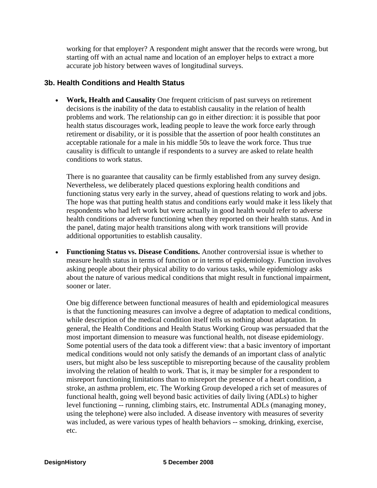working for that employer? A respondent might answer that the records were wrong, but starting off with an actual name and location of an employer helps to extract a more accurate job history between waves of longitudinal surveys.

#### **3b. Health Conditions and Health Status**

• **Work, Health and Causality** One frequent criticism of past surveys on retirement decisions is the inability of the data to establish causality in the relation of health problems and work. The relationship can go in either direction: it is possible that poor health status discourages work, leading people to leave the work force early through retirement or disability, or it is possible that the assertion of poor health constitutes an acceptable rationale for a male in his middle 50s to leave the work force. Thus true causality is difficult to untangle if respondents to a survey are asked to relate health conditions to work status.

There is no guarantee that causality can be firmly established from any survey design. Nevertheless, we deliberately placed questions exploring health conditions and functioning status very early in the survey, ahead of questions relating to work and jobs. The hope was that putting health status and conditions early would make it less likely that respondents who had left work but were actually in good health would refer to adverse health conditions or adverse functioning when they reported on their health status. And in the panel, dating major health transitions along with work transitions will provide additional opportunities to establish causality.

• **Functioning Status vs. Disease Conditions.** Another controversial issue is whether to measure health status in terms of function or in terms of epidemiology. Function involves asking people about their physical ability to do various tasks, while epidemiology asks about the nature of various medical conditions that might result in functional impairment, sooner or later.

One big difference between functional measures of health and epidemiological measures is that the functioning measures can involve a degree of adaptation to medical conditions, while description of the medical condition itself tells us nothing about adaptation. In general, the Health Conditions and Health Status Working Group was persuaded that the most important dimension to measure was functional health, not disease epidemiology. Some potential users of the data took a different view: that a basic inventory of important medical conditions would not only satisfy the demands of an important class of analytic users, but might also be less susceptible to misreporting because of the causality problem involving the relation of health to work. That is, it may be simpler for a respondent to misreport functioning limitations than to misreport the presence of a heart condition, a stroke, an asthma problem, etc. The Working Group developed a rich set of measures of functional health, going well beyond basic activities of daily living (ADLs) to higher level functioning -- running, climbing stairs, etc. Instrumental ADLs (managing money, using the telephone) were also included. A disease inventory with measures of severity was included, as were various types of health behaviors -- smoking, drinking, exercise, etc.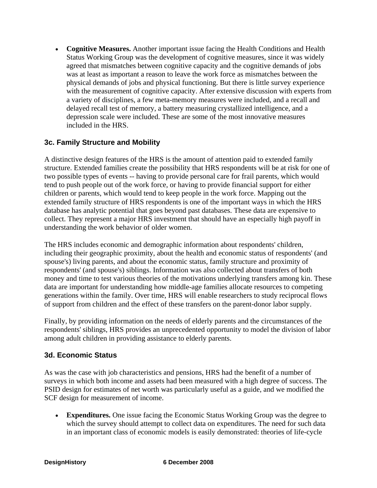• **Cognitive Measures.** Another important issue facing the Health Conditions and Health Status Working Group was the development of cognitive measures, since it was widely agreed that mismatches between cognitive capacity and the cognitive demands of jobs was at least as important a reason to leave the work force as mismatches between the physical demands of jobs and physical functioning. But there is little survey experience with the measurement of cognitive capacity. After extensive discussion with experts from a variety of disciplines, a few meta-memory measures were included, and a recall and delayed recall test of memory, a battery measuring crystallized intelligence, and a depression scale were included. These are some of the most innovative measures included in the HRS.

## **3c. Family Structure and Mobility**

A distinctive design features of the HRS is the amount of attention paid to extended family structure. Extended families create the possibility that HRS respondents will be at risk for one of two possible types of events -- having to provide personal care for frail parents, which would tend to push people out of the work force, or having to provide financial support for either children or parents, which would tend to keep people in the work force. Mapping out the extended family structure of HRS respondents is one of the important ways in which the HRS database has analytic potential that goes beyond past databases. These data are expensive to collect. They represent a major HRS investment that should have an especially high payoff in understanding the work behavior of older women.

The HRS includes economic and demographic information about respondents' children, including their geographic proximity, about the health and economic status of respondents' (and spouse's) living parents, and about the economic status, family structure and proximity of respondents' (and spouse's) siblings. Information was also collected about transfers of both money and time to test various theories of the motivations underlying transfers among kin. These data are important for understanding how middle-age families allocate resources to competing generations within the family. Over time, HRS will enable researchers to study reciprocal flows of support from children and the effect of these transfers on the parent-donor labor supply.

Finally, by providing information on the needs of elderly parents and the circumstances of the respondents' siblings, HRS provides an unprecedented opportunity to model the division of labor among adult children in providing assistance to elderly parents.

#### **3d. Economic Status**

As was the case with job characteristics and pensions, HRS had the benefit of a number of surveys in which both income and assets had been measured with a high degree of success. The PSID design for estimates of net worth was particularly useful as a guide, and we modified the SCF design for measurement of income.

• **Expenditures.** One issue facing the Economic Status Working Group was the degree to which the survey should attempt to collect data on expenditures. The need for such data in an important class of economic models is easily demonstrated: theories of life-cycle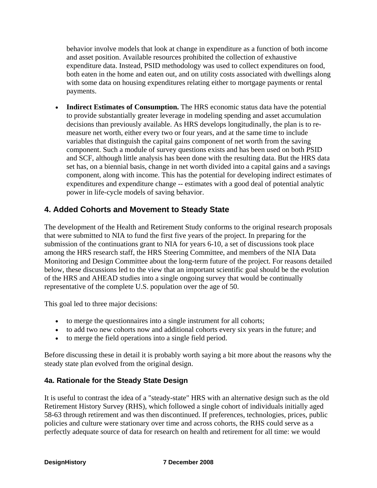behavior involve models that look at change in expenditure as a function of both income and asset position. Available resources prohibited the collection of exhaustive expenditure data. Instead, PSID methodology was used to collect expenditures on food, both eaten in the home and eaten out, and on utility costs associated with dwellings along with some data on housing expenditures relating either to mortgage payments or rental payments.

• **Indirect Estimates of Consumption.** The HRS economic status data have the potential to provide substantially greater leverage in modeling spending and asset accumulation decisions than previously available. As HRS develops longitudinally, the plan is to remeasure net worth, either every two or four years, and at the same time to include variables that distinguish the capital gains component of net worth from the saving component. Such a module of survey questions exists and has been used on both PSID and SCF, although little analysis has been done with the resulting data. But the HRS data set has, on a biennial basis, change in net worth divided into a capital gains and a savings component, along with income. This has the potential for developing indirect estimates of expenditures and expenditure change -- estimates with a good deal of potential analytic power in life-cycle models of saving behavior.

## **4. Added Cohorts and Movement to Steady State**

The development of the Health and Retirement Study conforms to the original research proposals that were submitted to NIA to fund the first five years of the project. In preparing for the submission of the continuations grant to NIA for years 6-10, a set of discussions took place among the HRS research staff, the HRS Steering Committee, and members of the NIA Data Monitoring and Design Committee about the long-term future of the project. For reasons detailed below, these discussions led to the view that an important scientific goal should be the evolution of the HRS and AHEAD studies into a single ongoing survey that would be continually representative of the complete U.S. population over the age of 50.

This goal led to three major decisions:

- to merge the questionnaires into a single instrument for all cohorts;
- to add two new cohorts now and additional cohorts every six years in the future; and
- to merge the field operations into a single field period.

Before discussing these in detail it is probably worth saying a bit more about the reasons why the steady state plan evolved from the original design.

#### **4a. Rationale for the Steady State Design**

It is useful to contrast the idea of a "steady-state" HRS with an alternative design such as the old Retirement History Survey (RHS), which followed a single cohort of individuals initially aged 58-63 through retirement and was then discontinued. If preferences, technologies, prices, public policies and culture were stationary over time and across cohorts, the RHS could serve as a perfectly adequate source of data for research on health and retirement for all time: we would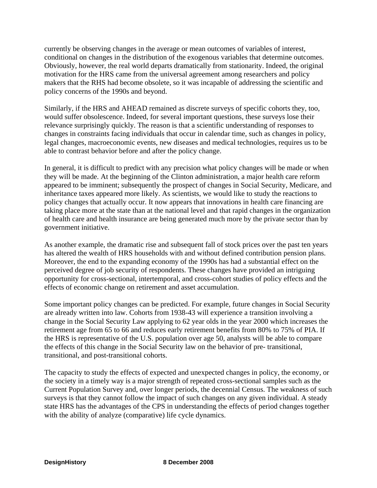currently be observing changes in the average or mean outcomes of variables of interest, conditional on changes in the distribution of the exogenous variables that determine outcomes. Obviously, however, the real world departs dramatically from stationarity. Indeed, the original motivation for the HRS came from the universal agreement among researchers and policy makers that the RHS had become obsolete, so it was incapable of addressing the scientific and policy concerns of the 1990s and beyond.

Similarly, if the HRS and AHEAD remained as discrete surveys of specific cohorts they, too, would suffer obsolescence. Indeed, for several important questions, these surveys lose their relevance surprisingly quickly. The reason is that a scientific understanding of responses to changes in constraints facing individuals that occur in calendar time, such as changes in policy, legal changes, macroeconomic events, new diseases and medical technologies, requires us to be able to contrast behavior before and after the policy change.

In general, it is difficult to predict with any precision what policy changes will be made or when they will be made. At the beginning of the Clinton administration, a major health care reform appeared to be imminent; subsequently the prospect of changes in Social Security, Medicare, and inheritance taxes appeared more likely. As scientists, we would like to study the reactions to policy changes that actually occur. It now appears that innovations in health care financing are taking place more at the state than at the national level and that rapid changes in the organization of health care and health insurance are being generated much more by the private sector than by government initiative.

As another example, the dramatic rise and subsequent fall of stock prices over the past ten years has altered the wealth of HRS households with and without defined contribution pension plans. Moreover, the end to the expanding economy of the 1990s has had a substantial effect on the perceived degree of job security of respondents. These changes have provided an intriguing opportunity for cross-sectional, intertemporal, and cross-cohort studies of policy effects and the effects of economic change on retirement and asset accumulation.

Some important policy changes can be predicted. For example, future changes in Social Security are already written into law. Cohorts from 1938-43 will experience a transition involving a change in the Social Security Law applying to 62 year olds in the year 2000 which increases the retirement age from 65 to 66 and reduces early retirement benefits from 80% to 75% of PIA. If the HRS is representative of the U.S. population over age 50, analysts will be able to compare the effects of this change in the Social Security law on the behavior of pre- transitional, transitional, and post-transitional cohorts.

The capacity to study the effects of expected and unexpected changes in policy, the economy, or the society in a timely way is a major strength of repeated cross-sectional samples such as the Current Population Survey and, over longer periods, the decennial Census. The weakness of such surveys is that they cannot follow the impact of such changes on any given individual. A steady state HRS has the advantages of the CPS in understanding the effects of period changes together with the ability of analyze (comparative) life cycle dynamics.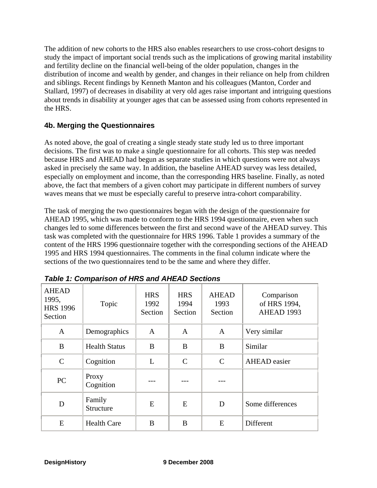The addition of new cohorts to the HRS also enables researchers to use cross-cohort designs to study the impact of important social trends such as the implications of growing marital instability and fertility decline on the financial well-being of the older population, changes in the distribution of income and wealth by gender, and changes in their reliance on help from children and siblings. Recent findings by Kenneth Manton and his colleagues (Manton, Corder and Stallard, 1997) of decreases in disability at very old ages raise important and intriguing questions about trends in disability at younger ages that can be assessed using from cohorts represented in the HRS.

#### **4b. Merging the Questionnaires**

As noted above, the goal of creating a single steady state study led us to three important decisions. The first was to make a single questionnaire for all cohorts. This step was needed because HRS and AHEAD had begun as separate studies in which questions were not always asked in precisely the same way. In addition, the baseline AHEAD survey was less detailed, especially on employment and income, than the corresponding HRS baseline. Finally, as noted above, the fact that members of a given cohort may participate in different numbers of survey waves means that we must be especially careful to preserve intra-cohort comparability.

The task of merging the two questionnaires began with the design of the questionnaire for AHEAD 1995, which was made to conform to the HRS 1994 questionnaire, even when such changes led to some differences between the first and second wave of the AHEAD survey. This task was completed with the questionnaire for HRS 1996. Table 1 provides a summary of the content of the HRS 1996 questionnaire together with the corresponding sections of the AHEAD 1995 and HRS 1994 questionnaires. The comments in the final column indicate where the sections of the two questionnaires tend to be the same and where they differ.

| <b>AHEAD</b><br>1995,<br><b>HRS 1996</b><br>Section | Topic                | <b>HRS</b><br>1992<br>Section | <b>HRS</b><br>1994<br>Section | <b>AHEAD</b><br>1993<br>Section | Comparison<br>of HRS 1994,<br>AHEAD 1993 |  |
|-----------------------------------------------------|----------------------|-------------------------------|-------------------------------|---------------------------------|------------------------------------------|--|
| $\mathbf{A}$                                        | Demographics         | $\mathbf{A}$                  | $\mathbf{A}$                  | $\mathbf{A}$                    | Very similar                             |  |
| B                                                   | <b>Health Status</b> | B                             | B                             | B                               | Similar                                  |  |
| $\mathcal{C}$                                       | Cognition            | L                             | $\mathbf C$                   | $\mathbf C$                     | <b>AHEAD</b> easier                      |  |
| PC                                                  | Proxy<br>Cognition   |                               |                               |                                 |                                          |  |
| D                                                   | Family<br>Structure  | E                             | E                             | D                               | Some differences                         |  |
| E                                                   | <b>Health Care</b>   | B                             | B                             | E                               | Different                                |  |

*Table 1: Comparison of HRS and AHEAD Sections*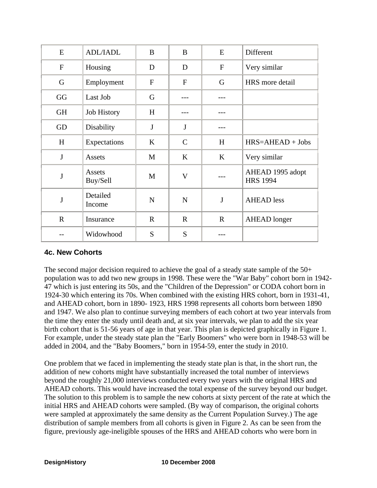| E           | ADL/IADL           | $\bf{B}$     | $\bf{B}$       | E            | Different                           |  |
|-------------|--------------------|--------------|----------------|--------------|-------------------------------------|--|
| $\mathbf F$ | Housing            | D            | D              | $\mathbf{F}$ | Very similar                        |  |
| G           | Employment         | $\mathbf{F}$ | $\overline{F}$ | G            | HRS more detail                     |  |
| GG          | Last Job           | $\mathbf G$  |                |              |                                     |  |
| <b>GH</b>   | Job History        | H            |                |              |                                     |  |
| GD          | Disability         | $\mathbf{J}$ | J              |              |                                     |  |
| H           | Expectations       | $\bf K$      | $\mathsf{C}$   | H            | $HRS=AHEAD + Jobs$                  |  |
| $\bf J$     | Assets             | M            | K              | $\bf K$      | Very similar                        |  |
| $\mathbf J$ | Assets<br>Buy/Sell | M            | $\mathbf{V}$   |              | AHEAD 1995 adopt<br><b>HRS 1994</b> |  |
| J           | Detailed<br>Income | $\mathbf N$  | $\mathbf N$    | $\bf J$      | <b>AHEAD</b> less                   |  |
| $\mathbf R$ | Insurance          | $\mathbf R$  | $\mathbf{R}$   | $\mathbf R$  | <b>AHEAD</b> longer                 |  |
|             | Widowhood          | S            | S              |              |                                     |  |

#### **4c. New Cohorts**

The second major decision required to achieve the goal of a steady state sample of the 50+ population was to add two new groups in 1998. These were the "War Baby" cohort born in 1942- 47 which is just entering its 50s, and the "Children of the Depression" or CODA cohort born in 1924-30 which entering its 70s. When combined with the existing HRS cohort, born in 1931-41, and AHEAD cohort, born in 1890- 1923, HRS 1998 represents all cohorts born between 1890 and 1947. We also plan to continue surveying members of each cohort at two year intervals from the time they enter the study until death and, at six year intervals, we plan to add the six year birth cohort that is 51-56 years of age in that year. This plan is depicted graphically in Figure 1. For example, under the steady state plan the "Early Boomers" who were born in 1948-53 will be added in 2004, and the "Baby Boomers," born in 1954-59, enter the study in 2010.

One problem that we faced in implementing the steady state plan is that, in the short run, the addition of new cohorts might have substantially increased the total number of interviews beyond the roughly 21,000 interviews conducted every two years with the original HRS and AHEAD cohorts. This would have increased the total expense of the survey beyond our budget. The solution to this problem is to sample the new cohorts at sixty percent of the rate at which the initial HRS and AHEAD cohorts were sampled. (By way of comparison, the original cohorts were sampled at approximately the same density as the Current Population Survey.) The age distribution of sample members from all cohorts is given in Figure 2. As can be seen from the figure, previously age-ineligible spouses of the HRS and AHEAD cohorts who were born in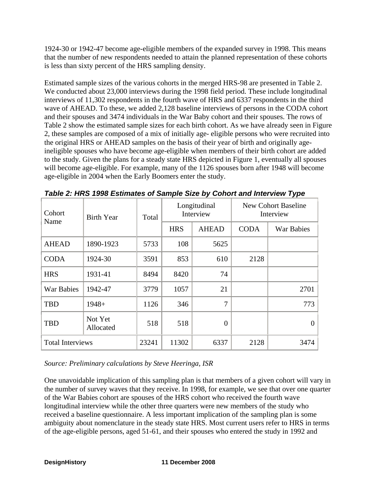1924-30 or 1942-47 become age-eligible members of the expanded survey in 1998. This means that the number of new respondents needed to attain the planned representation of these cohorts is less than sixty percent of the HRS sampling density.

Estimated sample sizes of the various cohorts in the merged HRS-98 are presented in Table 2. We conducted about 23,000 interviews during the 1998 field period. These include longitudinal interviews of 11,302 respondents in the fourth wave of HRS and 6337 respondents in the third wave of AHEAD. To these, we added 2,128 baseline interviews of persons in the CODA cohort and their spouses and 3474 individuals in the War Baby cohort and their spouses. The rows of Table 2 show the estimated sample sizes for each birth cohort. As we have already seen in Figure 2, these samples are composed of a mix of initially age- eligible persons who were recruited into the original HRS or AHEAD samples on the basis of their year of birth and originally ageineligible spouses who have become age-eligible when members of their birth cohort are added to the study. Given the plans for a steady state HRS depicted in Figure 1, eventually all spouses will become age-eligible. For example, many of the 1126 spouses born after 1948 will become age-eligible in 2004 when the Early Boomers enter the study.

| Cohort<br>Name          | <b>Birth Year</b>    | Total | Longitudinal<br>Interview |                | <b>New Cohort Baseline</b><br>Interview |            |
|-------------------------|----------------------|-------|---------------------------|----------------|-----------------------------------------|------------|
|                         |                      |       | <b>HRS</b>                | <b>AHEAD</b>   | <b>CODA</b>                             | War Babies |
| <b>AHEAD</b>            | 1890-1923            | 5733  | 108                       | 5625           |                                         |            |
| <b>CODA</b>             | 1924-30              | 3591  | 853                       | 610            | 2128                                    |            |
| <b>HRS</b>              | 1931-41              | 8494  | 8420                      | 74             |                                         |            |
| War Babies              | 1942-47              | 3779  | 1057                      | 21             |                                         | 2701       |
| <b>TBD</b>              | $1948+$              | 1126  | 346                       | 7              |                                         | 773        |
| <b>TBD</b>              | Not Yet<br>Allocated | 518   | 518                       | $\overline{0}$ |                                         | 0          |
| <b>Total Interviews</b> |                      | 23241 | 11302                     | 6337           | 2128                                    | 3474       |

*Table 2: HRS 1998 Estimates of Sample Size by Cohort and Interview Type* 

#### *Source: Preliminary calculations by Steve Heeringa, ISR*

One unavoidable implication of this sampling plan is that members of a given cohort will vary in the number of survey waves that they receive. In 1998, for example, we see that over one quarter of the War Babies cohort are spouses of the HRS cohort who received the fourth wave longitudinal interview while the other three quarters were new members of the study who received a baseline questionnaire. A less important implication of the sampling plan is some ambiguity about nomenclature in the steady state HRS. Most current users refer to HRS in terms of the age-eligible persons, aged 51-61, and their spouses who entered the study in 1992 and